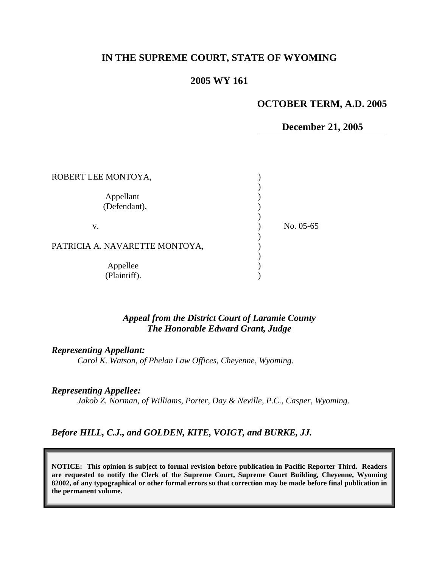# **IN THE SUPREME COURT, STATE OF WYOMING**

## **2005 WY 161**

## **OCTOBER TERM, A.D. 2005**

### **December 21, 2005**

| ROBERT LEE MONTOYA,            |           |
|--------------------------------|-----------|
| Appellant<br>(Defendant),      |           |
| v.                             | No. 05-65 |
| PATRICIA A. NAVARETTE MONTOYA, |           |
| Appellee<br>(Plaintiff).       |           |

### *Appeal from the District Court of Laramie County The Honorable Edward Grant, Judge*

*Representing Appellant:* 

*Carol K. Watson, of Phelan Law Offices, Cheyenne, Wyoming.* 

# *Representing Appellee:*

*Jakob Z. Norman, of Williams, Porter, Day & Neville, P.C., Casper, Wyoming.* 

### *Before HILL, C.J., and GOLDEN, KITE, VOIGT, and BURKE, JJ.*

**NOTICE: This opinion is subject to formal revision before publication in Pacific Reporter Third. Readers are requested to notify the Clerk of the Supreme Court, Supreme Court Building, Cheyenne, Wyoming 82002, of any typographical or other formal errors so that correction may be made before final publication in the permanent volume.**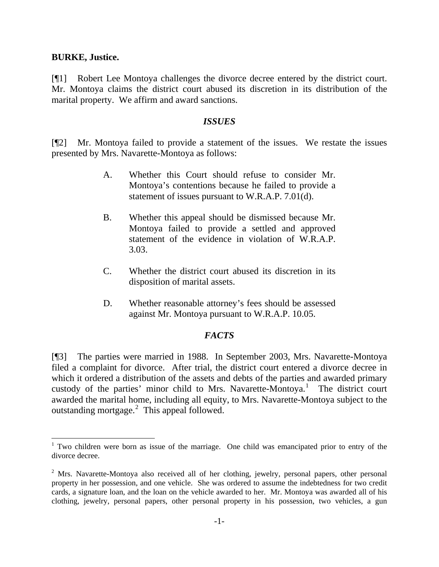### **BURKE, Justice.**

[¶1] Robert Lee Montoya challenges the divorce decree entered by the district court. Mr. Montoya claims the district court abused its discretion in its distribution of the marital property. We affirm and award sanctions.

### *ISSUES*

[¶2] Mr. Montoya failed to provide a statement of the issues. We restate the issues presented by Mrs. Navarette-Montoya as follows:

- A. Whether this Court should refuse to consider Mr. Montoya's contentions because he failed to provide a statement of issues pursuant to W.R.A.P. 7.01(d).
- . Whether this appeal should be dismissed because Mr. Montoya failed to provide a settled and approved statement of the evidence in violation of W.R.A.P.  $B<sub>1</sub>$ 3.03.
- . Whether the district court abused its discretion in its  $C_{\cdot}$ disposition of marital assets.
- D. Whether reasonable attorney's fees should be assessed against Mr. Montoya pursuant to W.R.A.P. 10.05.

### *FACTS*

3] The parties were married in 1988. In September 2003, Mrs. Navarette-Montoya [¶ filed a complaint for divorce. After trial, the district court entered a divorce decree in which it ordered a distribution of the assets and debts of the parties and awarded primary custody of the parties' minor child to Mrs. Navarette-Montoya.<sup>[1](#page-1-0)</sup> The district court awarded the marital home, including all equity, to Mrs. Navarette-Montoya subject to the outstanding mortgage.<sup>[2](#page-1-1)</sup> This appeal followed.

<span id="page-1-0"></span><sup>&</sup>lt;sup>1</sup> Two children were born as issue of the marriage. One child was emancipated prior to entry of the divorce decree.

<span id="page-1-1"></span><sup>&</sup>lt;sup>2</sup> Mrs. Navarette-Montoya also received all of her clothing, jewelry, personal papers, other personal property in her possession, and one vehicle. She was ordered to assume the indebtedness for two credit cards, a signature loan, and the loan on the vehicle awarded to her. Mr. Montoya was awarded all of his clothing, jewelry, personal papers, other personal property in his possession, two vehicles, a gun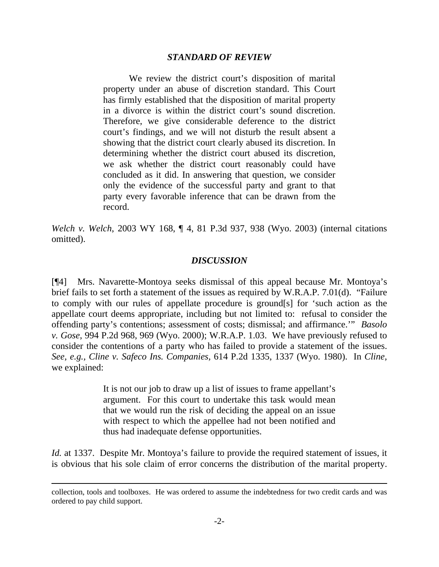### *STANDARD OF REVIEW*

We review the district court's disposition of marital property under an abuse of discretion standard. This Court has firmly established that the disposition of marital property in a divorce is within the district court's sound discretion. Therefore, we give considerable deference to the district court's findings, and we will not disturb the result absent a showing that the district court clearly abused its discretion. In determining whether the district court abused its discretion, we ask whether the district court reasonably could have concluded as it did. In answering that question, we consider only the evidence of the successful party and grant to that party every favorable inference that can be drawn from the record.

*Welch v. Welch*[, 2003 WY 168, ¶ 4, 81 P.3d 937, 938 \(Wyo. 2003\)](http://www.lexis.com/research/xlink?app=00075&view=full&searchtype=get&search=2003+WY+168) (internal citations omitted).

#### *DISCUSSION*

[¶4] Mrs. Navarette-Montoya seeks dismissal of this appeal because Mr. Montoya's brief fails to set forth a statement of the issues as required by W.R.A.P. 7.01(d). "Failure to comply with our rules of appellate procedure is ground[s] for 'such action as the appellate court deems appropriate, including but not limited to: refusal to consider the offending party's contentions; assessment of costs; dismissal; and affirmance.'" *Basolo v. Gose*, 994 P.2d 968, 969 (Wyo. 2000); W.R.A.P. 1.03. We have previously refused to consider the contentions of a party who has failed to provide a statement of the issues. *See, e.g., Cline v. Safeco Ins. Companies,* 614 P.2d 1335, 1337 (Wyo. 1980). In *Cline,* we explained:

> It is not our job to draw up a list of issues to frame appellant's argument. For this court to undertake this task would mean that we would run the risk of deciding the appeal on an issue with respect to which the appellee had not been notified and thus had inadequate defense opportunities.

*Id.* at 1337. Despite Mr. Montoya's failure to provide the required statement of issues, it is obvious that his sole claim of error concerns the distribution of the marital property.

 $\overline{a}$ 

collection, tools and toolboxes. He was ordered to assume the indebtedness for two credit cards and was ordered to pay child support.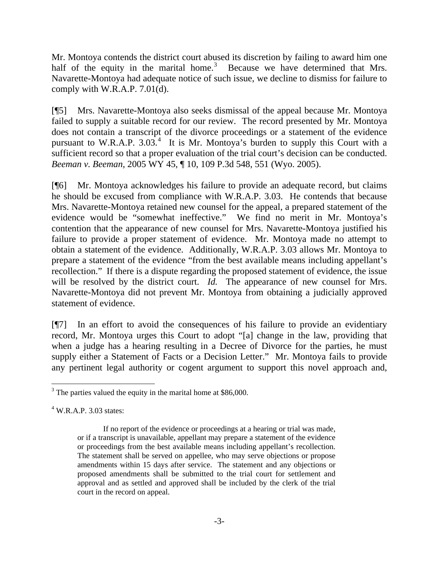Mr. Montoya contends the district court abused its discretion by failing to award him one half of the equity in the marital home.<sup>[3](#page-3-0)</sup> Because we have determined that Mrs. Navarette-Montoya had adequate notice of such issue, we decline to dismiss for failure to comply with W.R.A.P. 7.01(d).

[¶5] Mrs. Navarette-Montoya also seeks dismissal of the appeal because Mr. Montoya failed to supply a suitable record for our review. The record presented by Mr. Montoya does not contain a transcript of the divorce proceedings or a statement of the evidence pursuant to W.R.A.P.  $3.03<sup>4</sup>$  $3.03<sup>4</sup>$  $3.03<sup>4</sup>$  It is Mr. Montoya's burden to supply this Court with a sufficient record so that a proper evaluation of the trial court's decision can be conducted. *Beeman v. Beeman*, 2005 WY 45, ¶ 10, 109 P.3d 548, 551 (Wyo. 2005).

[¶6] Mr. Montoya acknowledges his failure to provide an adequate record, but claims he should be excused from compliance with W.R.A.P. 3.03. He contends that because Mrs. Navarette-Montoya retained new counsel for the appeal, a prepared statement of the evidence would be "somewhat ineffective." We find no merit in Mr. Montoya's contention that the appearance of new counsel for Mrs. Navarette-Montoya justified his failure to provide a proper statement of evidence. Mr. Montoya made no attempt to obtain a statement of the evidence. Additionally, W.R.A.P. 3.03 allows Mr. Montoya to prepare a statement of the evidence "from the best available means including appellant's recollection." If there is a dispute regarding the proposed statement of evidence, the issue will be resolved by the district court. *Id.* The appearance of new counsel for Mrs. Navarette-Montoya did not prevent Mr. Montoya from obtaining a judicially approved statement of evidence.

[¶7] In an effort to avoid the consequences of his failure to provide an evidentiary record, Mr. Montoya urges this Court to adopt "[a] change in the law, providing that when a judge has a hearing resulting in a Decree of Divorce for the parties, he must supply either a Statement of Facts or a Decision Letter." Mr. Montoya fails to provide any pertinent legal authority or cogent argument to support this novel approach and,

 $\overline{a}$ 

<span id="page-3-0"></span> $3$  The parties valued the equity in the marital home at \$86,000.

<span id="page-3-1"></span> $4$  W.R.A.P. 3.03 states:

If no report of the evidence or proceedings at a hearing or trial was made, or if a transcript is unavailable, appellant may prepare a statement of the evidence or proceedings from the best available means including appellant's recollection. The statement shall be served on appellee, who may serve objections or propose amendments within 15 days after service. The statement and any objections or proposed amendments shall be submitted to the trial court for settlement and approval and as settled and approved shall be included by the clerk of the trial court in the record on appeal.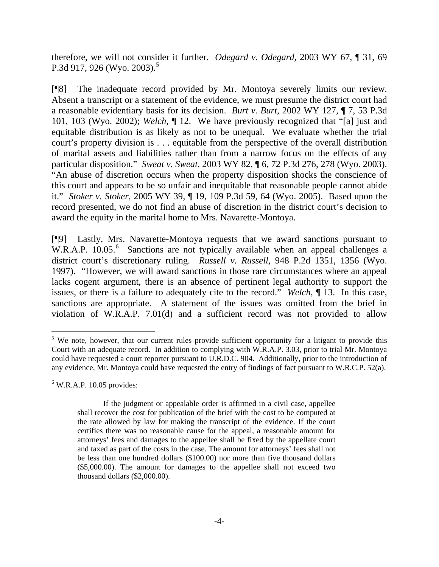therefore, we will not consider it further. *Odegard v. Odegard,* 2003 WY 67, ¶ 31, 69 P.3d 917, 926 (Wyo. 2003).<sup>[5](#page-4-0)</sup>

[¶8] The inadequate record provided by Mr. Montoya severely limits our review. Absent a transcript or a statement of the evidence, we must presume the district court had a reasonable evidentiary basis for its decision. *Burt v. Burt*, 2002 WY 127, ¶ 7, 53 P.3d 101, 103 (Wyo. 2002); *Welch*, ¶ 12. We have previously recognized that "[a] just and equitable distribution is as likely as not to be unequal. We evaluate whether the trial court's property division is . . . equitable from the perspective of the overall distribution of marital assets and liabilities rather than from a narrow focus on the effects of any particular disposition." *Sweat v. Sweat*, 2003 WY 82, ¶ 6, 72 P.3d 276, 278 (Wyo. 2003). "An abuse of discretion occurs when the property disposition shocks the conscience of this court and appears to be so unfair and inequitable that reasonable people cannot abide it." *Stoker v. Stoker,* 2005 WY 39, ¶ 19, 109 P.3d 59, 64 (Wyo. 2005). Based upon the record presented, we do not find an abuse of discretion in the district court's decision to award the equity in the marital home to Mrs. Navarette-Montoya.

[¶9] Lastly, Mrs. Navarette-Montoya requests that we award sanctions pursuant to W.R.A.P. 10.05.<sup>[6](#page-4-1)</sup> Sanctions are not typically available when an appeal challenges a district court's discretionary ruling. *Russell v. Russell*, 948 P.2d 1351, 1356 (Wyo. 1997). "However, we will award sanctions in those rare circumstances where an appeal lacks cogent argument, there is an absence of pertinent legal authority to support the issues, or there is a failure to adequately cite to the record." *Welch*, ¶ 13. In this case, sanctions are appropriate. A statement of the issues was omitted from the brief in violation of W.R.A.P. 7.01(d) and a sufficient record was not provided to allow

<span id="page-4-1"></span> $6$  W.R.A.P. 10.05 provides:

 $\overline{a}$ 

<span id="page-4-0"></span><sup>&</sup>lt;sup>5</sup> We note, however, that our current rules provide sufficient opportunity for a litigant to provide this Court with an adequate record. In addition to complying with W.R.A.P. 3.03, prior to trial Mr. Montoya could have requested a court reporter pursuant to U.R.D.C. 904. Additionally, prior to the introduction of any evidence, Mr. Montoya could have requested the entry of findings of fact pursuant to W.R.C.P. 52(a).

If the judgment or appealable order is affirmed in a civil case, appellee shall recover the cost for publication of the brief with the cost to be computed at the rate allowed by law for making the transcript of the evidence. If the court certifies there was no reasonable cause for the appeal, a reasonable amount for attorneys' fees and damages to the appellee shall be fixed by the appellate court and taxed as part of the costs in the case. The amount for attorneys' fees shall not be less than one hundred dollars (\$100.00) nor more than five thousand dollars (\$5,000.00). The amount for damages to the appellee shall not exceed two thousand dollars (\$2,000.00).